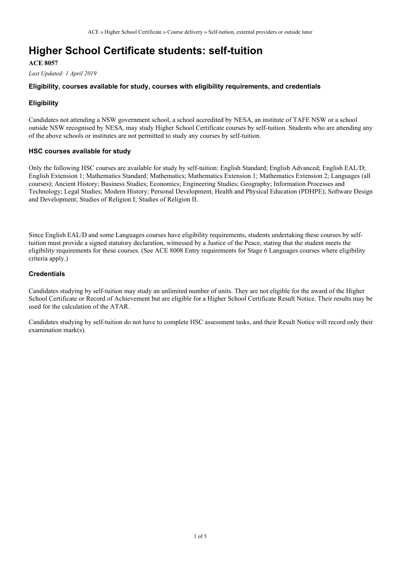## **Higher School Certificate students: self-tuition**

#### **ACE 8057**

*Last Updated: 1 April 2019*

#### **Eligibility, courses available for study, courses with eligibility requirements, and credentials**

#### **Eligibility**

Candidates not attending a NSW government school, a school accredited by NESA, an institute of TAFE NSW or a school outside NSW recognised by NESA, may study Higher School Certificate courses by self-tuition. Students who are attending any of the above schools or institutes are not permitted to study any courses by self-tuition.

#### **HSC courses available for study**

Only the following HSC courses are available for study by self-tuition: English Standard; English Advanced; English EAL/D; English Extension 1; Mathematics Standard; Mathematics; Mathematics Extension 1; Mathematics Extension 2; Languages (all courses); Ancient History; Business Studies; Economics; Engineering Studies; Geography; Information Processes and Technology; Legal Studies; Modern History; Personal Development, Health and Physical Education (PDHPE); Software Design and Development; Studies of Religion I; Studies of Religion II.

Since English EAL/D and some Languages courses have eligibility requirements, students undertaking these courses by selftuition must provide a signed statutory declaration, witnessed by a Justice of the Peace, stating that the student meets the eligibility requirements for these courses. (See ACE 8008 Entry requirements for Stage 6 Languages courses where eligibility criteria apply.)

#### **Credentials**

Candidates studying by self-tuition may study an unlimited number of units. They are not eligible for the award of the Higher School Certificate or Record of Achievement but are eligible for a Higher School Certificate Result Notice. Their results may be used for the calculation of the ATAR.

Candidates studying by self-tuition do not have to complete HSC assessment tasks, and their Result Notice will record only their examination mark(s).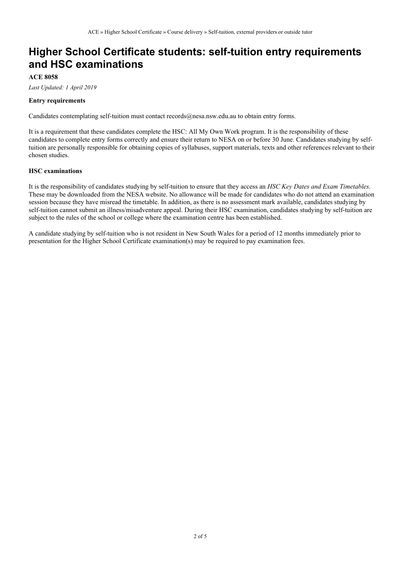# **Higher School Certificate students: self-tuition entry requirements and HSC examinations**

### **ACE 8058**

*Last Updated: 1 April 2019*

#### **Entry requirements**

Candidates contemplating self-tuition must contact records@nesa.nsw.edu.au to obtain entry forms.

It is a requirement that these candidates complete the HSC: All My Own Work program. It is the responsibility of these candidates to complete entry forms correctly and ensure their return to NESA on or before 30 June. Candidates studying by selftuition are personally responsible for obtaining copies of syllabuses, support materials, texts and other references relevant to their chosen studies.

#### **HSC examinations**

It is the responsibility of candidates studying by self-tuition to ensure that they access an *HSC Key Dates and Exam Timetables*. These may be downloaded from the NESA website. No allowance will be made for candidates who do not attend an examination session because they have misread the timetable. In addition, as there is no assessment mark available, candidates studying by self-tuition cannot submit an illness/misadventure appeal. During their HSC examination, candidates studying by self-tuition are subject to the rules of the school or college where the examination centre has been established.

A candidate studying by self-tuition who is not resident in New South Wales for a period of 12 months immediately prior to presentation for the Higher School Certificate examination(s) may be required to pay examination fees.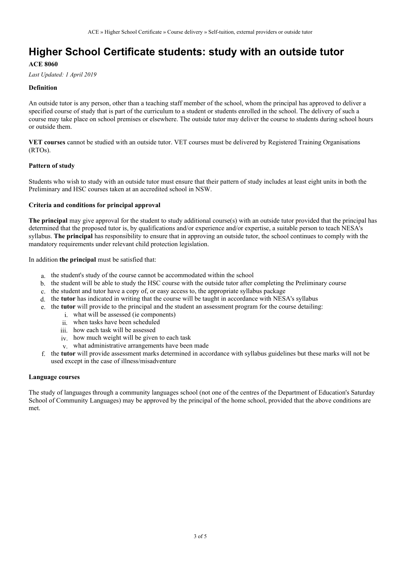# **Higher School Certificate students: study with an outside tutor**

#### **ACE 8060**

*Last Updated: 1 April 2019*

#### **Definition**

An outside tutor is any person, other than a teaching staff member of the school, whom the principal has approved to deliver a specified course of study that is part of the curriculum to a student or students enrolled in the school. The delivery of such a course may take place on school premises or elsewhere. The outside tutor may deliver the course to students during school hours or outside them.

**VET courses** cannot be studied with an outside tutor. VET courses must be delivered by Registered Training Organisations (RTOs).

#### **Pattern of study**

Students who wish to study with an outside tutor must ensure that their pattern of study includes at least eight units in both the Preliminary and HSC courses taken at an accredited school in NSW.

#### **Criteria and conditions for principal approval**

**The principal** may give approval for the student to study additional course(s) with an outside tutor provided that the principal has determined that the proposed tutor is, by qualifications and/or experience and/or expertise, a suitable person to teach NESA's syllabus. **The principal** has responsibility to ensure that in approving an outside tutor, the school continues to comply with the mandatory requirements under relevant child protection legislation.

In addition **the principal** must be satisfied that:

- a. the student's study of the course cannot be accommodated within the school
- b. the student will be able to study the HSC course with the outside tutor after completing the Preliminary course
- c. the student and tutor have a copy of, or easy access to, the appropriate syllabus package
- d. the **tutor** has indicated in writing that the course will be taught in accordance with NESA's syllabus
- e. the **tutor** will provide to the principal and the student an assessment program for the course detailing:
	- i. what will be assessed (ie components)
	- ii. when tasks have been scheduled
	- iii. how each task will be assessed
	- iv. how much weight will be given to each task
	- v. what administrative arrangements have been made
- f. the **tutor** will provide assessment marks determined in accordance with syllabus guidelines but these marks will not be used except in the case of illness/misadventure

#### **Language courses**

The study of languages through a community languages school (not one of the centres of the Department of Education's Saturday School of Community Languages) may be approved by the principal of the home school, provided that the above conditions are met.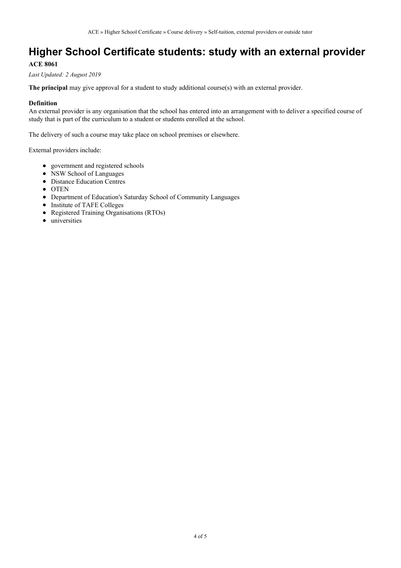# **Higher School Certificate students: study with an external provider**

### **ACE 8061**

*Last Updated: 2 August 2019*

**The principal** may give approval for a student to study additional course(s) with an external provider.

#### **Definition**

An external provider is any organisation that the school has entered into an arrangement with to deliver a specified course of study that is part of the curriculum to a student or students enrolled at the school.

The delivery of such a course may take place on school premises or elsewhere.

External providers include:

- government and registered schools
- NSW School of Languages
- Distance Education Centres
- OTEN
- Department of Education's Saturday School of Community Languages
- Institute of TAFE Colleges
- Registered Training Organisations (RTOs)
- universities